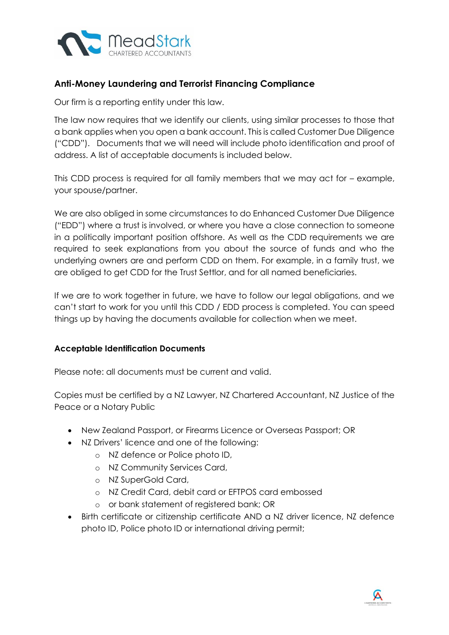

# **Anti-Money Laundering and Terrorist Financing Compliance**

Our firm is a reporting entity under this law.

The law now requires that we identify our clients, using similar processes to those that a bank applies when you open a bank account. This is called Customer Due Diligence ("CDD"). Documents that we will need will include photo identification and proof of address. A list of acceptable documents is included below.

This CDD process is required for all family members that we may act for – example, your spouse/partner.

We are also obliged in some circumstances to do Enhanced Customer Due Diligence ("EDD") where a trust is involved, or where you have a close connection to someone in a politically important position offshore. As well as the CDD requirements we are required to seek explanations from you about the source of funds and who the underlying owners are and perform CDD on them. For example, in a family trust, we are obliged to get CDD for the Trust Settlor, and for all named beneficiaries.

If we are to work together in future, we have to follow our legal obligations, and we can't start to work for you until this CDD / EDD process is completed. You can speed things up by having the documents available for collection when we meet.

## **Acceptable Identification Documents**

Please note: all documents must be current and valid.

Copies must be certified by a NZ Lawyer, NZ Chartered Accountant, NZ Justice of the Peace or a Notary Public

- New Zealand Passport, or Firearms Licence or Overseas Passport; OR
- NZ Drivers' licence and one of the following:
	- o NZ defence or Police photo ID,
	- o NZ Community Services Card,
	- o NZ SuperGold Card,
	- o NZ Credit Card, debit card or EFTPOS card embossed
	- o or bank statement of registered bank; OR
- Birth certificate or citizenship certificate AND a NZ driver licence, NZ defence photo ID, Police photo ID or international driving permit;